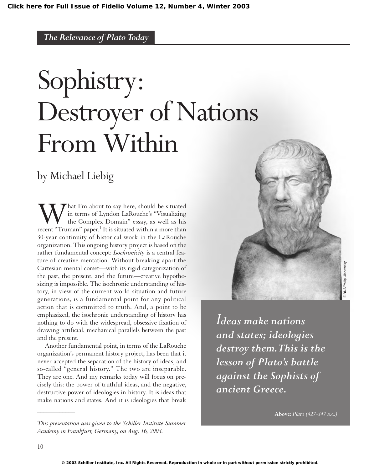# Sophistry: Destroyer of Nations From Within

# by Michael Liebig

**W** in terms of Lyndon LaRouche's "Visualizing the Complex Domain" essay, as well as his recent "Truman" paper.<sup>1</sup> It is situated within a more than in terms of Lyndon LaRouche's "Visualizing the Complex Domain" essay, as well as his 30-year continuity of historical work in the LaRouche organization. This ongoing history project is based on the rather fundamental concept: *Isochronicity* is a central feature of creative mentation. Without breaking apart the Cartesian mental corset—with its rigid categorization of the past, the present, and the future—creative hypothesizing is impossible. The isochronic understanding of history, in view of the current world situation and future generations, is a fundamental point for any political action that is committed to truth. And, a point to be emphasized, the isochronic understanding of history has nothing to do with the widespread, obsessive fixation of drawing artificial, mechanical parallels between the past and the present.

Another fundamental point, in terms of the LaRouche organization's permanent history project, has been that it never accepted the separation of the history of ideas, and so-called "general history." The two are inseparable. They are one. And my remarks today will focus on precisely this: the power of truthful ideas, and the negative, destructive power of ideologies in history. It is ideas that make nations and states. And it is ideologies that break



*Ideas make nations and states; ideologies destroy them.This is the lesson of Plato's battle against the Sophists of ancient Greece.*

**Above:** *Plato (427-347 B.C.)*

*\_\_\_\_\_\_\_\_\_\_\_\_*

*This presentation was given to the Schiller Institute Summer Academy in Frankfurt, Germany, on Aug. 16, 2003.*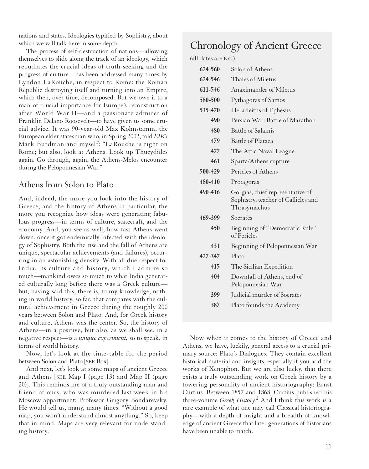nations and states. Ideologies typified by Sophistry, about which we will talk here in some depth.

The process of self-destruction of nations—allowing themselves to slide along the track of an ideology, which repudiates the crucial ideas of truth-seeking and the progress of culture—has been addressed many times by Lyndon LaRouche, in respect to Rome: the Roman Republic destroying itself and turning into an Empire, which then, over time, decomposed. But we owe it to a man of crucial importance for Europe's reconstruction after World War II—and a passionate admirer of Franklin Delano Roosevelt—to have given us some crucial advice. It was 90-year-old Max Kohnstamm, the European elder statesman who, in Spring 2002, told *EIR's* Mark Burdman and myself: "LaRouche is right on Rome; but also, look at Athens. Look up Thucydides again. Go through, again, the Athens-Melos encounter during the Peloponnesian War."

#### Athens from Solon to Plato

And, indeed, the more you look into the history of Greece, and the history of Athens in particular, the more you recognize how ideas were generating fabulous progress—in terms of culture, statecraft, and the economy. And, you see as well, how fast Athens went down, once it got endemically infected with the ideology of Sophistry. Both the rise and the fall of Athens are unique, spectacular achievements (and failures), occurring in an astonishing density. With all due respect for India, its culture and history, which I admire so much—mankind owes so much to what India generated culturally long before there was a Greek culture but, having said this, there is, to my knowledge, nothing in world history, so far, that compares with the cultural achievement in Greece during the roughly 200 years between Solon and Plato. And, for Greek history and culture, Athens was the center. So, the history of Athens—in a positive, but also, as we shall see, in a negative respect—is a *unique experiment,* so to speak, in terms of world history.

Now, let's look at the time-table for the period between Solon and Plato [SEE Box].

And next, let's look at some maps of ancient Greece and Athens [SEE Map I (page 13) and Map II (page 20)]. This reminds me of a truly outstanding man and friend of ours, who was murdered last week in his Moscow appartment: Professor Grigory Bondarevsky. He would tell us, many, many times: "Without a good map, you won't understand almost anything." So, keep that in mind. Maps are very relevant for understanding history.

# Chronology of Ancient Greece

(all dates are B.C.)

| 624-560 | Solon of Athens                                                                         |
|---------|-----------------------------------------------------------------------------------------|
| 624-546 | Thales of Miletus                                                                       |
| 611-546 | <b>Anaximander of Miletus</b>                                                           |
| 580-500 | Pythagoras of Samos                                                                     |
| 535-470 | Heracleitus of Ephesus                                                                  |
| 490     | Persian War: Battle of Marathon                                                         |
| 480     | <b>Battle of Salamis</b>                                                                |
| 479     | Battle of Plataea                                                                       |
| 477     | The Attic Naval League                                                                  |
| 461     | Sparta/Athens rupture                                                                   |
| 500-429 | Pericles of Athens                                                                      |
| 480-410 | Protagoras                                                                              |
|         |                                                                                         |
| 490-416 | Gorgias, chief representative of<br>Sophistry, teacher of Callicles and<br>Thrasymachus |
| 469-399 | Socrates                                                                                |
| 450     | Beginning of "Democratic Rule"<br>of Pericles                                           |
| 431     | Beginning of Peloponnesian War                                                          |
| 427-347 | Plato                                                                                   |
| 415     | The Sicilian Expedition                                                                 |
| 404     | Downfall of Athens, end of<br>Peloponnesian War                                         |
| 399     | Judicial murder of Socrates                                                             |

Now when it comes to the history of Greece and Athens, we have, luckily, general access to a crucial primary source: Plato's Dialogues. They contain excellent historical material and insights, especially if you add the works of Xenophon. But we are also lucky, that there exists a truly outstanding work on Greek history by a towering personality of ancient historiography: Ernst Curtius. Between 1857 and 1868, Curtius published his three-volume *Greek History.* <sup>2</sup> And I think this work is a rare example of what one may call Classical historiography—with a depth of insight and a breadth of knowledge of ancient Greece that later generations of historians have been unable to match.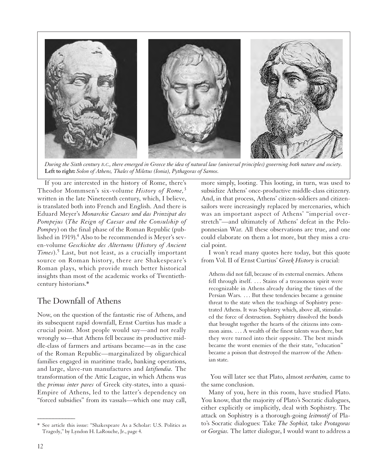

*During the Sixth century B.C., there emerged in Greece the idea of natural law (universal principles) governing both nature and society.* **Left to right:** *Solon of Athens, Thales of Miletus (Ionia), Pythagoras of Samos.*

If you are interested in the history of Rome, there's Theodor Mommsen's six-volume *History of Rome,*<sup>3</sup> written in the late Nineteenth century, which, I believe, is translated both into French and English. And there is Eduard Meyer's *Monarchie Caesars und das Prinzipat des Pompejus* (*The Reign of Caesar and the Consulship of Pompey*) on the final phase of the Roman Republic (published in 1919).<sup>4</sup> Also to be recommended is Meyer's seven-volume *Geschichte des Altertums* (*History of Ancient Times*).<sup>5</sup> Last, but not least, as a crucially important source on Roman history, there are Shakespeare's Roman plays, which provide much better historical insights than most of the academic works of Twentiethcentury historians.\*

#### The Downfall of Athens

Now, on the question of the fantastic rise of Athens, and its subsequent rapid downfall, Ernst Curtius has made a crucial point. Most people would say—and not really wrongly so—that Athens fell because its productive middle-class of farmers and artisans became—as in the case of the Roman Republic—marginalized by oligarchical families engaged in maritime trade, banking operations, and large, slave-run manufactures and *latifundia.* The transformation of the Attic League, in which Athens was the *primus inter pares* of Greek city-states, into a quasi-Empire of Athens, led to the latter's dependency on "forced subsidies" from its vassals—which one may call,

more simply, looting. This looting, in turn, was used to subsidize Athens' once-productive middle-class citizenry. And, in that process, Athens' citizen-soldiers and citizensailors were increasingly replaced by mercenaries, which was an important aspect of Athens' "imperial overstretch"—and ultimately of Athens' defeat in the Peloponnesian War. All these observations are true, and one could elaborate on them a lot more, but they miss a crucial point.

I won't read many quotes here today, but this quote from Vol. II of Ernst Curtius' *Greek History* is crucial:

Athens did not fall, because of its external enemies. Athens fell through itself. . . . Stains of a treasonous spirit were recognizable in Athens already during the times of the Persian Wars. ... But these tendencies became a genuine threat to the state when the teachings of Sophistry penetrated Athens. It was Sophistry which, above all, stimulated the force of destruction. Sophistry dissolved the bonds that brought together the hearts of the citizens into common aims. . . . A wealth of the finest talents was there, but they were turned into their opposite. The best minds became the worst enemies of the their state, "education" became a poison that destroyed the marrow of the Athenian state.

You will later see that Plato, almost *verbatim,* came to the same conclusion.

Many of you, here in this room, have studied Plato. You know, that the majority of Plato's Socratic dialogues, either explicitly or implicitly, deal with Sophistry. The attack on Sophistry is a thorough-going *leitmotif* of Plato's Socratic dialogues: Take *The Sophist,* take *Protagoras* or *Gorgias.* The latter dialogue, I would want to address a

*\_\_\_\_\_\_\_\_\_\_\_\_*

See article this issue: "Shakespeare As a Scholar: U.S. Politics as Tragedy," by Lyndon H. LaRouche, Jr., page 4.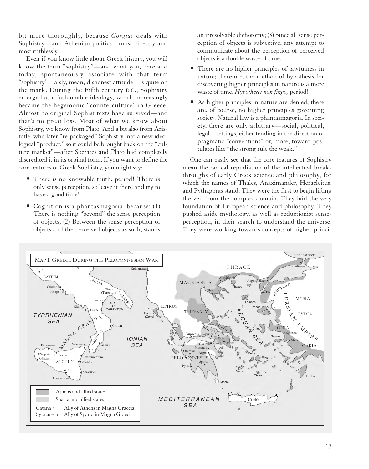bit more thoroughly, because *Gorgias* deals with Sophistry—and Athenian politics—most directly and most ruthlessly.

Even if you know little about Greek history, you will know the term "sophistry"—and what you, here and today, spontaneously associate with that term "sophistry"—a sly, mean, dishonest attitude—is quite on the mark. During the Fifth century B.C., Sophistry emerged as a fashionable ideology, which increasingly became the hegemonic "counterculture" in Greece. Almost no original Sophist texts have survived—and that's no great loss. Most of what we know about Sophistry, we know from Plato. And a bit also from Aristotle, who later "re-packaged" Sophistry into a new ideological "product," so it could be brought back on the "culture market"—after Socrates and Plato had completely discredited it in its orginal form. If you want to define the core features of Greek Sophistry, you might say:

- There is no knowable truth, period! There is only sense perception, so leave it there and try to have a good time!
- Cognition is a phantasmagoria, because: (1) There is nothing "beyond" the sense perception of objects; (2) Between the sense perception of objects and the perceived objects as such, stands

an irresolvable dichotomy; (3) Since all sense perception of objects is subjective, any attempt to communicate about the perception of perceived objects is a double waste of time.

- There are no higher principles of lawfulness in nature; therefore, the method of hypothesis for discovering higher principles in nature is a mere waste of time. *Hypotheses non fingo,* period!
- As higher principles in nature are denied, there are, of course, no higher principles governing society. Natural law is a phantasmagoria. In society, there are only arbitrary—social, political, legal—settings, either tending in the direction of pragmatic "conventions" or, more, toward postulates like "the strong rule the weak."

One can easily see that the core features of Sophistry mean the radical repudiation of the intellectual breakthroughs of early Greek science and philosophy, for which the names of Thales, Anaximander, Heracleitus, and Pythagoras stand. They were the first to begin lifting the veil from the complex domain. They laid the very foundation of European science and philosophy. They pushed aside mythology, as well as reductionist senseperception, in their search to understand the universe. They were working towards concepts of higher princi-

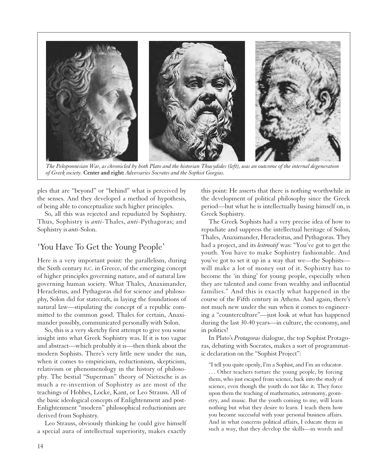

*The Peloponnesian War, as chronicled by both Plato and the historian Thucydides (left), was an outcome of the internal degeneration of Greek society.* **Center and right:** *Adversaries Socrates and the Sophist Gorgias.*

ples that are "beyond" or "behind" what is perceived by the senses. And they developed a method of hypothesis, of being able to conceptualize such higher principles.

So, all this was rejected and repudiated by Sophistry. Thus, Sophistry is *anti*-Thales, *anti*-Pythagoras; and Sophistry is *anti*-Solon.

## 'You Have To Get the Young People'

Here is a very important point: the parallelism, during the Sixth century B.C. in Greece, of the emerging concept of higher principles governing nature, and of natural law governing human society. What Thales, Anaximander, Heracleitus, and Pythagoras did for science and philosophy, Solon did for statecraft, in laying the foundations of natural law—stipulating the concept of a republic committed to the common good. Thales for certain, Anaximander possibly, communicated personally with Solon.

So, this is a very sketchy first attempt to give you some insight into what Greek Sophistry was. If it is too vague and abstract—which probably it is—then think about the modern Sophists. There's very little new under the sun, when it comes to empiricism, reductionism, skepticism, relativism or phenomenology in the history of philosophy. The bestial "Superman" theory of Nietzsche is as much a re-invention of Sophistry as are most of the teachings of Hobbes, Locke, Kant, or Leo Strauss. All of the basic ideological concepts of Enlightenment and post-Enlightenment "modern" philosophical reductionism are derived from Sophistry.

Leo Strauss, obviously thinking he could give himself a special aura of intellectual superiority, makes exactly

this point: He asserts that there is nothing worthwhile in the development of political philosophy since the Greek period—but what he is intellectually basing himself on, is Greek Sophistry.

The Greek Sophists had a very precise idea of how to repudiate and suppress the intellectual heritage of Solon, Thales, Anaximander, Heracleitus, and Pythagoras. They had a project, and its *leitmotif* was: "You've got to get the youth. You have to make Sophistry fashionable. And you've got to set it up in a way that we—the Sophists will make a lot of money out of it. Sophistry has to become the 'in thing' for young people, especially when they are talented and come from wealthy and influential families." And this is exactly what happened in the course of the Fifth century in Athens. And again, there's not much new under the sun when it comes to engineering a "counterculture"—just look at what has happened during the last 30-40 years—in culture, the economy, and in politics!

In Plato's *Protagoras* dialogue, the top Sophist Protagoras, debating with Socrates, makes a sort of programmatic declaration on the "Sophist Project":

"I tell you quite openly, I'm a Sophist, and I'm an educator. ... Other teachers torture the young people, by forcing them, who just escaped from science, back into the study of science, even though the youth do not like it. They force upon them the teaching of mathematics, astronomy, geometry, and music. But the youth coming to me, will learn nothing but what they desire to learn. I teach them how you become successful with your personal business affairs. And in what concerns political affairs, I educate them in such a way, that they develop the skills—in words and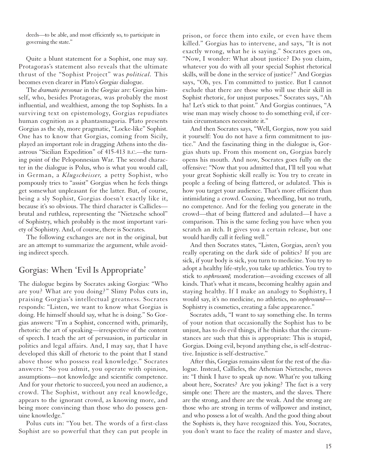deeds—to be able, and most efficiently so, to participate in governing the state."

Quite a blunt statement for a Sophist, one may say. Protagoras's statement also reveals that the ultimate thrust of the "Sophist Project" was *political.* This becomes even clearer in Plato's *Gorgias* dialogue.

The *dramatis personae* in the *Gorgias* are: Gorgias himself, who, besides Protagoras, was probably the most influential, and wealthiest, among the top Sophists. In a surviving text on epistemology, Gorgias repudiates human cognition as a phantasmagoria. Plato presents Gorgias as the sly, more pragmatic, "Locke-like" Sophist. One has to know that Gorgias, coming from Sicily, played an important role in dragging Athens into the disastrous "Sicilian Expedition" of 415-413 B.C.—the turning point of the Peloponnesian War. The second character in the dialogue is Polus, who is what you would call, in German, a *Klugscheisser,* a petty Sophist, who pompously tries to "assist" Gorgias when he feels things get somewhat unpleasant for the latter. But, of course, being a sly Sophist, Gorgias doesn't exactly like it, because it's so obvious. The third character is Callicles brutal and ruthless, representing the "Nietzsche school" of Sophistry, which probably is the most important variety of Sophistry. And, of course, there is Socrates.

The following exchanges are not in the original, but are an attempt to summarize the argument, while avoiding indirect speech.

## Gorgias: When 'Evil Is Appropriate'

The dialogue begins by Socrates asking Gorgias: "Who are you? What are you doing?" Slimy Polus cuts in, praising Gorgias's intellectual greatness. Socrates responds: "Listen, we want to know what Gorgias is doing. He himself should say, what he is doing." So Gorgias answers: "I'm a Sophist, concerned with, primarily, rhetoric: the art of speaking—irrespective of the content of speech. I teach the art of persuasion, in particular in politics and legal affairs. And, I may say, that I have developed this skill of rhetoric to the point that I stand above those who possess real knowledge." Socrates answers: "So you admit, you operate with opinion, assumptions—not knowledge and scientific competence. And for your rhetoric to succeed, you need an audience, a crowd. The Sophist, without any real knowledge, appears to the ignorant crowd, as knowing more, and being more convincing than those who do possess genuine knowledge."

Polus cuts in: "You bet. The words of a first-class Sophist are so powerful that they can put people in prison, or force them into exile, or even have them killed." Gorgias has to intervene, and says, "It is not exactly wrong, what he is saying." Socrates goes on, "Now, I wonder: What about justice? Do you claim, whatever you do with all your special Sophist rhetorical skills, will be done in the service of justice?" And Gorgias says, "Oh, yes. I'm committed to justice. But I cannot exclude that there are those who will use their skill in Sophist rhetoric, for unjust purposes." Socrates says, "Ah ha! Let's stick to that point." And Gorgias continues, "A wise man may wisely choose to do something evil, if certain circumstances necessitate it."

And then Socrates says, "Well, Gorgias, now you said it yourself: You do not have a firm commitment to justice." And the fascinating thing in the dialogue is, Gorgias shuts up. From this moment on, Gorgias barely opens his mouth. And now, Socrates goes fully on the offensive: "Now that you admitted that, I'll tell you what your great Sophistic skill really is: You try to create in people a feeling of being flattered, or adulated. This is how you target your audience. That's more efficient than intimidating a crowd. Coaxing, wheedling, but no truth, no competence. And for the feeling you generate in the crowd—that of being flattered and adulated—I have a comparison. This is the same feeling you have when you scratch an itch. It gives you a certain release, but one would hardly call it feeling well."

And then Socrates states, "Listen, Gorgias, aren't you really operating on the dark side of politics? If you are sick, if your body is sick, you turn to medicine. You try to adopt a healthy life-style, you take up athletics. You try to stick to *sophrosune*, moderation—avoiding excesses of all kinds. That's what it means, becoming healthy again and staying healthy. If I make an analogy to Sophistry, I would say, it's no medicine, no athletics, no *sophrosune¯*— Sophistry is cosmetics, creating a false appearence."

Socrates adds, "I want to say something else. In terms of your notion that occasionally the Sophist has to be unjust, has to do evil things, if he thinks that the circumstances are such that this is appropriate: This is stupid, Gorgias. Doing evil, beyond anything else, is self-destructive. Injustice is self-destructive."

After this, Gorgias remains silent for the rest of the dialogue. Instead, Callicles, the Athenian Nietzsche, moves in: "I think I have to speak up now. What're you talking about here, Socrates? Are you joking? The fact is a very simple one: There are the masters, and the slaves. There are the strong, and there are the weak. And the strong are those who are strong in terms of willpower and instinct, and who possess a lot of wealth. And the good thing about the Sophists is, they have recognized this. You, Socrates, you don't want to face the reality of master and slave,